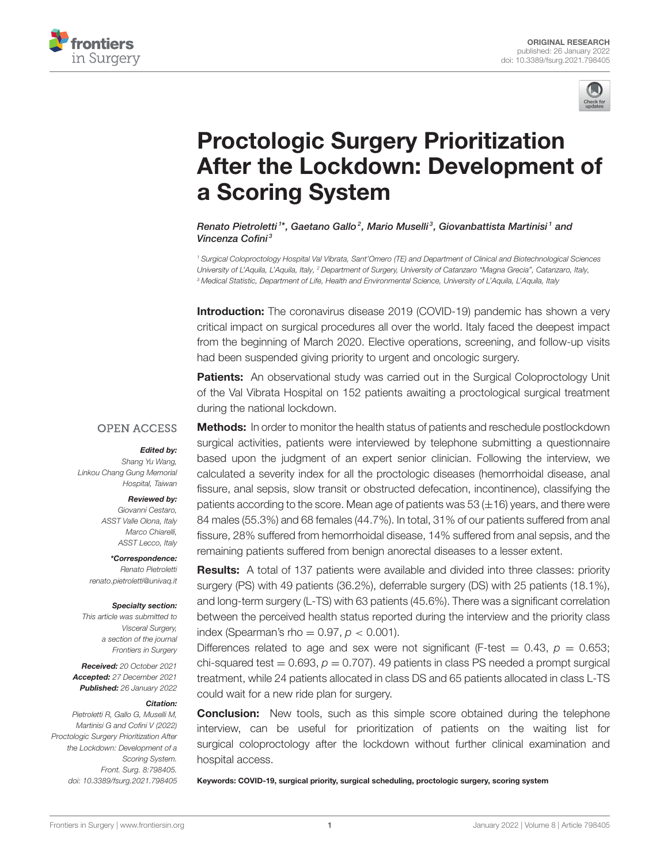



# Proctologic Surgery Prioritization [After the Lockdown: Development of](https://www.frontiersin.org/articles/10.3389/fsurg.2021.798405/full) a Scoring System

Renato Pietroletti<sup>1\*</sup>, Gaetano Gallo<sup>2</sup>, Mario Muselli<sup>3</sup>, Giovanbattista Martinisi<sup>1</sup> and Vincenza Cofini<sup>3</sup>

*<sup>1</sup> Surgical Coloproctology Hospital Val Vibrata, Sant'Omero (TE) and Department of Clinical and Biotechnological Sciences University of L'Aquila, L'Aquila, Italy, <sup>2</sup> Department of Surgery, University of Catanzaro "Magna Grecia", Catanzaro, Italy, <sup>3</sup> Medical Statistic, Department of Life, Health and Environmental Science, University of L'Aquila, L'Aquila, Italy*

**Introduction:** The coronavirus disease 2019 (COVID-19) pandemic has shown a very critical impact on surgical procedures all over the world. Italy faced the deepest impact from the beginning of March 2020. Elective operations, screening, and follow-up visits had been suspended giving priority to urgent and oncologic surgery.

Patients: An observational study was carried out in the Surgical Coloproctology Unit of the Val Vibrata Hospital on 152 patients awaiting a proctological surgical treatment during the national lockdown.

#### **OPEN ACCESS**

#### Edited by:

*Shang Yu Wang, Linkou Chang Gung Memorial Hospital, Taiwan*

#### Reviewed by:

*Giovanni Cestaro, ASST Valle Olona, Italy Marco Chiarelli, ASST Lecco, Italy*

\*Correspondence: *Renato Pietroletti [renato.pietroletti@univaq.it](mailto:renato.pietroletti@univaq.it)*

#### Specialty section:

*This article was submitted to Visceral Surgery, a section of the journal Frontiers in Surgery*

Received: *20 October 2021* Accepted: *27 December 2021* Published: *26 January 2022*

#### Citation:

*Pietroletti R, Gallo G, Muselli M, Martinisi G and Cofini V (2022) Proctologic Surgery Prioritization After the Lockdown: Development of a Scoring System. Front. Surg. 8:798405. doi: [10.3389/fsurg.2021.798405](https://doi.org/10.3389/fsurg.2021.798405)* **Methods:** In order to monitor the health status of patients and reschedule postlockdown surgical activities, patients were interviewed by telephone submitting a questionnaire based upon the judgment of an expert senior clinician. Following the interview, we calculated a severity index for all the proctologic diseases (hemorrhoidal disease, anal fissure, anal sepsis, slow transit or obstructed defecation, incontinence), classifying the patients according to the score. Mean age of patients was 53  $(\pm 16)$  years, and there were 84 males (55.3%) and 68 females (44.7%). In total, 31% of our patients suffered from anal fissure, 28% suffered from hemorrhoidal disease, 14% suffered from anal sepsis, and the remaining patients suffered from benign anorectal diseases to a lesser extent.

**Results:** A total of 137 patients were available and divided into three classes: priority surgery (PS) with 49 patients (36.2%), deferrable surgery (DS) with 25 patients (18.1%), and long-term surgery (L-TS) with 63 patients (45.6%). There was a significant correlation between the perceived health status reported during the interview and the priority class index (Spearman's rho =  $0.97$ ,  $p < 0.001$ ).

Differences related to age and sex were not significant (F-test  $= 0.43$ ,  $p = 0.653$ ; chi-squared test  $= 0.693$ ,  $p = 0.707$ ). 49 patients in class PS needed a prompt surgical treatment, while 24 patients allocated in class DS and 65 patients allocated in class L-TS could wait for a new ride plan for surgery.

**Conclusion:** New tools, such as this simple score obtained during the telephone interview, can be useful for prioritization of patients on the waiting list for surgical coloproctology after the lockdown without further clinical examination and hospital access.

Keywords: COVID-19, surgical priority, surgical scheduling, proctologic surgery, scoring system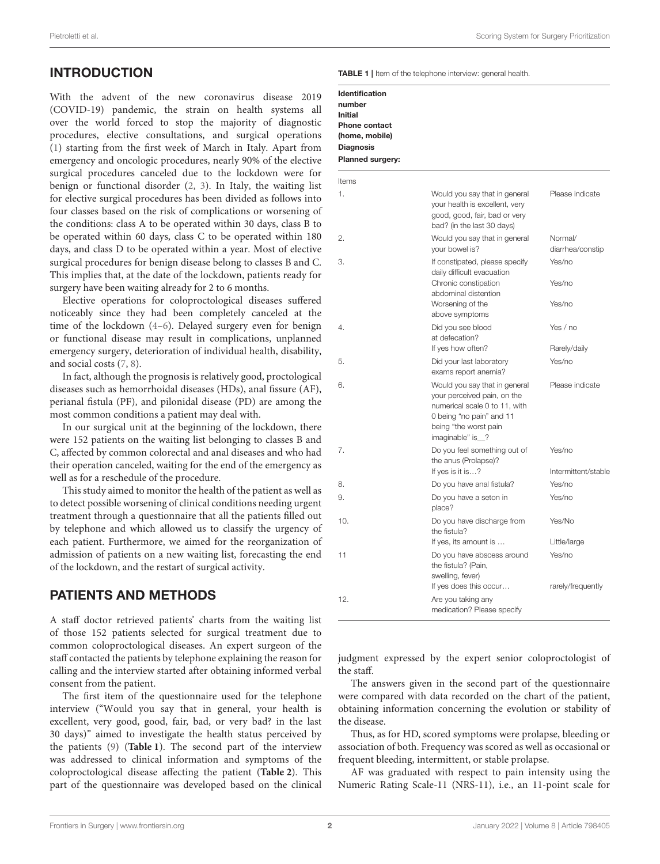# INTRODUCTION

With the advent of the new coronavirus disease 2019 (COVID-19) pandemic, the strain on health systems all over the world forced to stop the majority of diagnostic procedures, elective consultations, and surgical operations [\(1\)](#page-5-0) starting from the first week of March in Italy. Apart from emergency and oncologic procedures, nearly 90% of the elective surgical procedures canceled due to the lockdown were for benign or functional disorder [\(2,](#page-5-1) [3\)](#page-5-2). In Italy, the waiting list for elective surgical procedures has been divided as follows into four classes based on the risk of complications or worsening of the conditions: class A to be operated within 30 days, class B to be operated within 60 days, class C to be operated within 180 days, and class D to be operated within a year. Most of elective surgical procedures for benign disease belong to classes B and C. This implies that, at the date of the lockdown, patients ready for surgery have been waiting already for 2 to 6 months.

Elective operations for coloproctological diseases suffered noticeably since they had been completely canceled at the time of the lockdown [\(4](#page-5-3)[–6\)](#page-5-4). Delayed surgery even for benign or functional disease may result in complications, unplanned emergency surgery, deterioration of individual health, disability, and social costs [\(7,](#page-5-5) [8\)](#page-5-6).

In fact, although the prognosis is relatively good, proctological diseases such as hemorrhoidal diseases (HDs), anal fissure (AF), perianal fistula (PF), and pilonidal disease (PD) are among the most common conditions a patient may deal with.

In our surgical unit at the beginning of the lockdown, there were 152 patients on the waiting list belonging to classes B and C, affected by common colorectal and anal diseases and who had their operation canceled, waiting for the end of the emergency as well as for a reschedule of the procedure.

This study aimed to monitor the health of the patient as well as to detect possible worsening of clinical conditions needing urgent treatment through a questionnaire that all the patients filled out by telephone and which allowed us to classify the urgency of each patient. Furthermore, we aimed for the reorganization of admission of patients on a new waiting list, forecasting the end of the lockdown, and the restart of surgical activity.

# PATIENTS AND METHODS

A staff doctor retrieved patients' charts from the waiting list of those 152 patients selected for surgical treatment due to common coloproctological diseases. An expert surgeon of the staff contacted the patients by telephone explaining the reason for calling and the interview started after obtaining informed verbal consent from the patient.

The first item of the questionnaire used for the telephone interview ("Would you say that in general, your health is excellent, very good, good, fair, bad, or very bad? in the last 30 days)" aimed to investigate the health status perceived by the patients [\(9\)](#page-5-7) (**[Table 1](#page-1-0)**). The second part of the interview was addressed to clinical information and symptoms of the coloproctological disease affecting the patient (**[Table 2](#page-2-0)**). This part of the questionnaire was developed based on the clinical

<span id="page-1-0"></span>TABLE 1 | Item of the telephone interview: general health.

| Identification          |  |  |
|-------------------------|--|--|
| number                  |  |  |
| <b>Initial</b>          |  |  |
| Phone contact           |  |  |
| (home, mobile)          |  |  |
| <b>Diagnosis</b>        |  |  |
| <b>Planned surgery:</b> |  |  |
|                         |  |  |

| Items |                                                                                                                                                                        |                             |
|-------|------------------------------------------------------------------------------------------------------------------------------------------------------------------------|-----------------------------|
| 1.    | Would you say that in general<br>your health is excellent, very<br>good, good, fair, bad or very<br>bad? (in the last 30 days)                                         | Please indicate             |
| 2.    | Would you say that in general<br>your bowel is?                                                                                                                        | Normal/<br>diarrhea/constip |
| З.    | If constipated, please specify<br>daily difficult evacuation                                                                                                           | Yes/no                      |
|       | Chronic constipation<br>abdominal distention                                                                                                                           | Yes/no                      |
|       | Worsening of the<br>above symptoms                                                                                                                                     | Yes/no                      |
| 4.    | Did you see blood<br>at defecation?                                                                                                                                    | Yes / no                    |
|       | If yes how often?                                                                                                                                                      | Rarely/daily                |
| 5.    | Did your last laboratory<br>exams report anemia?                                                                                                                       | Yes/no                      |
| 6.    | Would you say that in general<br>your perceived pain, on the<br>numerical scale 0 to 11, with<br>0 being "no pain" and 11<br>being "the worst pain<br>imaginable" is_? | Please indicate             |
| 7.    | Do you feel something out of<br>the anus (Prolapse)?                                                                                                                   | Yes/no                      |
|       | If yes is it is?                                                                                                                                                       | Intermittent/stable         |
| 8.    | Do you have anal fistula?                                                                                                                                              | Yes/no                      |
| 9.    | Do you have a seton in<br>place?                                                                                                                                       | Yes/no                      |
| 10.   | Do you have discharge from<br>the fistula?                                                                                                                             | Yes/No                      |
|       | If yes, its amount is                                                                                                                                                  | Little/large                |
| 11    | Do you have abscess around<br>the fistula? (Pain,<br>swelling, fever)<br>If yes does this occur                                                                        | Yes/no<br>rarely/frequently |
| 12.   | Are you taking any<br>medication? Please specify                                                                                                                       |                             |
|       |                                                                                                                                                                        |                             |

judgment expressed by the expert senior coloproctologist of the staff.

The answers given in the second part of the questionnaire were compared with data recorded on the chart of the patient, obtaining information concerning the evolution or stability of the disease.

Thus, as for HD, scored symptoms were prolapse, bleeding or association of both. Frequency was scored as well as occasional or frequent bleeding, intermittent, or stable prolapse.

AF was graduated with respect to pain intensity using the Numeric Rating Scale-11 (NRS-11), i.e., an 11-point scale for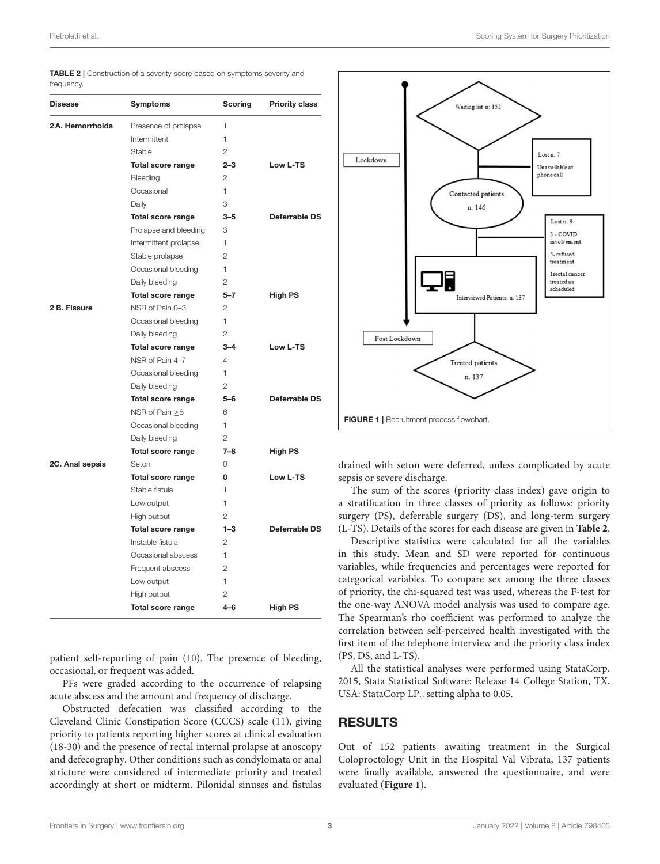| Pietroletti et al. | Scoring System for Surgery Prioritization |  |  |  |  |  |
|--------------------|-------------------------------------------|--|--|--|--|--|
|--------------------|-------------------------------------------|--|--|--|--|--|

| <b>Disease</b>  | Symptoms              | Scoring        | <b>Priority class</b> |
|-----------------|-----------------------|----------------|-----------------------|
| 2A. Hemorrhoids | Presence of prolapse  | 1              |                       |
|                 | Intermittent          | 1              |                       |
|                 | Stable                | $\overline{2}$ |                       |
|                 | Total score range     | $2 - 3$        | Low L-TS              |
|                 | Bleeding              | $\overline{2}$ |                       |
|                 | Occasional            | $\mathbf{1}$   |                       |
|                 | Daily                 | 3              |                       |
|                 | Total score range     | $3 - 5$        | Deferrable DS         |
|                 | Prolapse and bleeding | 3              |                       |
|                 | Intermittent prolapse | 1              |                       |
|                 | Stable prolapse       | $\overline{2}$ |                       |
|                 | Occasional bleeding   | 1              |                       |
|                 | Daily bleeding        | $\overline{2}$ |                       |
|                 | Total score range     | $5 - 7$        | <b>High PS</b>        |
| 2 B. Fissure    | NSR of Pain 0-3       | $\mathfrak{D}$ |                       |
|                 | Occasional bleeding   | 1              |                       |
|                 | Daily bleeding        | $\overline{2}$ |                       |
|                 | Total score range     | $3 - 4$        | Low L-TS              |
|                 | NSR of Pain 4-7       | 4              |                       |
|                 | Occasional bleeding   | 1              |                       |
|                 | Daily bleeding        | $\overline{2}$ |                       |
|                 | Total score range     | $5 - 6$        | Deferrable DS         |
|                 | NSR of Pain $\geq$ 8  | 6              |                       |
|                 | Occasional bleeding   | 1              |                       |
|                 | Daily bleeding        | $\mathfrak{D}$ |                       |
|                 | Total score range     | $7 - 8$        | <b>High PS</b>        |
| 2C. Anal sepsis | Seton                 | $\Omega$       |                       |
|                 | Total score range     | 0              | Low L-TS              |
|                 | Stable fistula        | 1              |                       |
|                 | Low output            | 1              |                       |
|                 | High output           | $\overline{2}$ |                       |
|                 | Total score range     | $1 - 3$        | Deferrable DS         |
|                 | Instable fistula      | $\overline{2}$ |                       |
|                 | Occasional abscess    | 1              |                       |
|                 | Frequent abscess      | $\mathfrak{p}$ |                       |
|                 | Low output            | 1              |                       |
|                 | High output           | $\overline{2}$ |                       |
|                 | Total score range     | $4 - 6$        | <b>High PS</b>        |

<span id="page-2-0"></span>TABLE 2 | Construction of a severity score based on symptoms severity and frequency

patient self-reporting of pain [\(10\)](#page-5-8). The presence of bleeding, occasional, or frequent was added.

PFs were graded according to the occurrence of relapsing acute abscess and the amount and frequency of discharge.

Obstructed defecation was classified according to the Cleveland Clinic Constipation Score (CCCS) scale [\(11\)](#page-5-9), giving priority to patients reporting higher scores at clinical evaluation (18-30) and the presence of rectal internal prolapse at anoscopy and defecography. Other conditions such as condylomata or anal stricture were considered of intermediate priority and treated accordingly at short or midterm. Pilonidal sinuses and fistulas



<span id="page-2-1"></span>drained with seton were deferred, unless complicated by acute sepsis or severe discharge.

The sum of the scores (priority class index) gave origin to a stratification in three classes of priority as follows: priority surgery (PS), deferrable surgery (DS), and long-term surgery (L-TS). Details of the scores for each disease are given in **[Table 2](#page-2-0)**.

Descriptive statistics were calculated for all the variables in this study. Mean and SD were reported for continuous variables, while frequencies and percentages were reported for categorical variables. To compare sex among the three classes of priority, the chi-squared test was used, whereas the F-test for the one-way ANOVA model analysis was used to compare age. The Spearman's rho coefficient was performed to analyze the correlation between self-perceived health investigated with the first item of the telephone interview and the priority class index (PS, DS, and L-TS).

All the statistical analyses were performed using StataCorp. 2015, Stata Statistical Software: Release 14 College Station, TX, USA: StataCorp LP., setting alpha to 0.05.

## RESULTS

Out of 152 patients awaiting treatment in the Surgical Coloproctology Unit in the Hospital Val Vibrata, 137 patients were finally available, answered the questionnaire, and were evaluated (**[Figure 1](#page-2-1)**).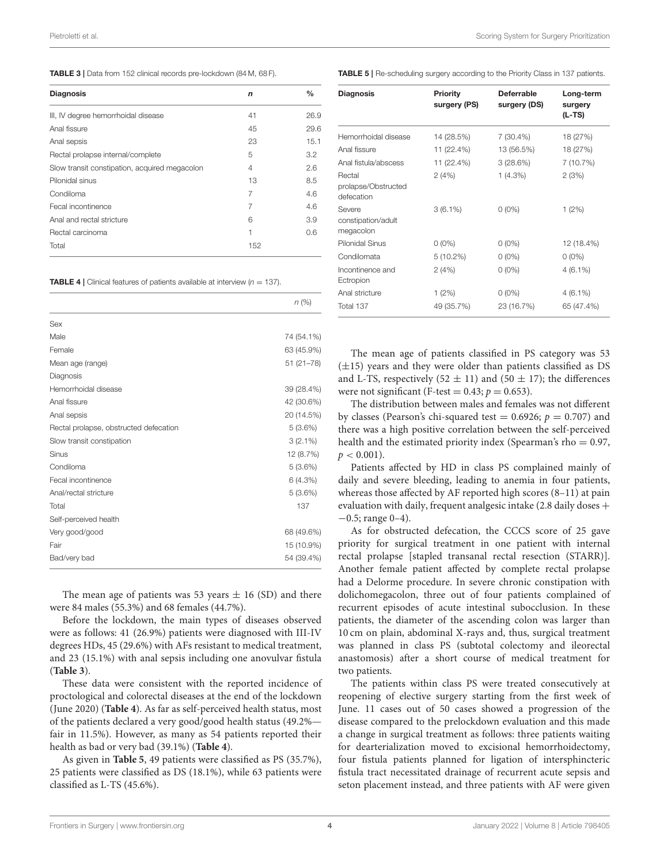<span id="page-3-0"></span>TABLE 3 | Data from 152 clinical records pre-lockdown (84 M, 68 F).

| <b>Diagnosis</b>                              | n   | $\frac{0}{0}$ |
|-----------------------------------------------|-----|---------------|
| III, IV degree hemorrhoidal disease           | 41  | 26.9          |
| Anal fissure                                  | 45  | 29.6          |
| Anal sepsis                                   | 23  | 15.1          |
| Rectal prolapse internal/complete             | 5   | 3.2           |
| Slow transit constipation, acquired megacolon | 4   | 2.6           |
| Pilonidal sinus                               | 13  | 8.5           |
| Condiloma                                     | 7   | 4.6           |
| Fecal incontinence                            | 7   | 4.6           |
| Anal and rectal stricture                     | 6   | 3.9           |
| Rectal carcinoma                              | 1   | 0.6           |
| Total                                         | 152 |               |

<span id="page-3-1"></span>**TABLE 4** | Clinical features of patients available at interview  $(n = 137)$ .

|                                        | $n$ (%)       |
|----------------------------------------|---------------|
| <b>Sex</b>                             |               |
| Male                                   | 74 (54.1%)    |
| Female                                 | 63 (45.9%)    |
| Mean age (range)                       | $51(21 - 78)$ |
| Diagnosis                              |               |
| Hemorrhoidal disease                   | 39 (28.4%)    |
| Anal fissure                           | 42 (30.6%)    |
| Anal sepsis                            | 20 (14.5%)    |
| Rectal prolapse, obstructed defecation | 5(3.6%)       |
| Slow transit constipation              | $3(2.1\%)$    |
| Sinus                                  | 12 (8.7%)     |
| Condiloma                              | 5(3.6%)       |
| Fecal incontinence                     | 6(4.3%)       |
| Anal/rectal stricture                  | 5(3.6%)       |
| Total                                  | 137           |
| Self-perceived health                  |               |
| Very good/good                         | 68 (49.6%)    |
| Fair                                   | 15 (10.9%)    |
| Bad/very bad                           | 54 (39.4%)    |
|                                        |               |

The mean age of patients was 53 years  $\pm$  16 (SD) and there were 84 males (55.3%) and 68 females (44.7%).

Before the lockdown, the main types of diseases observed were as follows: 41 (26.9%) patients were diagnosed with III-IV degrees HDs, 45 (29.6%) with AFs resistant to medical treatment, and 23 (15.1%) with anal sepsis including one anovulvar fistula (**[Table 3](#page-3-0)**).

These data were consistent with the reported incidence of proctological and colorectal diseases at the end of the lockdown (June 2020) (**[Table 4](#page-3-1)**). As far as self-perceived health status, most of the patients declared a very good/good health status (49.2% fair in 11.5%). However, as many as 54 patients reported their health as bad or very bad (39.1%) (**[Table 4](#page-3-1)**).

As given in **[Table 5](#page-3-2)**, 49 patients were classified as PS (35.7%), 25 patients were classified as DS (18.1%), while 63 patients were classified as L-TS (45.6%).

<span id="page-3-2"></span>TABLE 5 | Re-scheduling surgery according to the Priority Class in 137 patients.

| Diagnosis                                   | Priority<br>surgery (PS) | <b>Deferrable</b><br>surgery (DS) | Long-term<br>surgery |  |
|---------------------------------------------|--------------------------|-----------------------------------|----------------------|--|
|                                             |                          |                                   | $(L-TS)$             |  |
| Hemorrhoidal disease                        | 14 (28.5%)               | 7 (30.4%)                         | 18 (27%)             |  |
| Anal fissure                                | 11 (22.4%)               | 13 (56.5%)                        | 18 (27%)             |  |
| Anal fistula/abscess                        | 11 (22.4%)               | 3(28.6%)                          | 7 (10.7%)            |  |
| Rectal<br>prolapse/Obstructed<br>defecation | 2(4%)                    | 1(4.3%)                           | 2(3%)                |  |
| Severe<br>constipation/adult<br>megacolon   | $3(6.1\%)$               | $0(0\%)$                          | 1(2%)                |  |
| Pilonidal Sinus                             | $0(0\%)$                 | $0(0\%)$                          | 12 (18.4%)           |  |
| Condilomata                                 | $5(10.2\%)$              | $0(0\%)$                          | $0(0\%)$             |  |
| Incontinence and<br>Ectropion               | 2(4%)                    | $0(0\%)$                          | $4(6.1\%)$           |  |
| Anal stricture                              | 1(2%)                    | $0(0\%)$                          | $4(6.1\%)$           |  |
| Total 137                                   | 49 (35.7%)               | 23 (16.7%)                        | 65 (47.4%)           |  |

The mean age of patients classified in PS category was 53  $(\pm 15)$  years and they were older than patients classified as DS and L-TS, respectively (52  $\pm$  11) and (50  $\pm$  17); the differences were not significant (F-test =  $0.43$ ;  $p = 0.653$ ).

The distribution between males and females was not different by classes (Pearson's chi-squared test =  $0.6926$ ;  $p = 0.707$ ) and there was a high positive correlation between the self-perceived health and the estimated priority index (Spearman's rho = 0.97,  $p < 0.001$ ).

Patients affected by HD in class PS complained mainly of daily and severe bleeding, leading to anemia in four patients, whereas those affected by AF reported high scores (8–11) at pain evaluation with daily, frequent analgesic intake  $(2.8 \text{ daily doses} +$ −0.5; range 0–4).

As for obstructed defecation, the CCCS score of 25 gave priority for surgical treatment in one patient with internal rectal prolapse [stapled transanal rectal resection (STARR)]. Another female patient affected by complete rectal prolapse had a Delorme procedure. In severe chronic constipation with dolichomegacolon, three out of four patients complained of recurrent episodes of acute intestinal subocclusion. In these patients, the diameter of the ascending colon was larger than 10 cm on plain, abdominal X-rays and, thus, surgical treatment was planned in class PS (subtotal colectomy and ileorectal anastomosis) after a short course of medical treatment for two patients.

The patients within class PS were treated consecutively at reopening of elective surgery starting from the first week of June. 11 cases out of 50 cases showed a progression of the disease compared to the prelockdown evaluation and this made a change in surgical treatment as follows: three patients waiting for dearterialization moved to excisional hemorrhoidectomy, four fistula patients planned for ligation of intersphincteric fistula tract necessitated drainage of recurrent acute sepsis and seton placement instead, and three patients with AF were given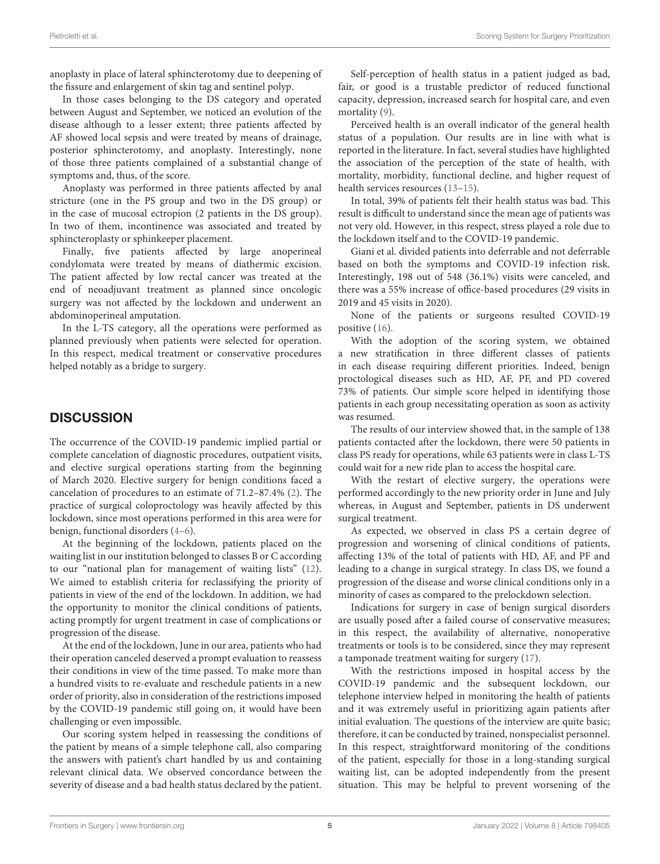anoplasty in place of lateral sphincterotomy due to deepening of the fissure and enlargement of skin tag and sentinel polyp.

In those cases belonging to the DS category and operated between August and September, we noticed an evolution of the disease although to a lesser extent; three patients affected by AF showed local sepsis and were treated by means of drainage, posterior sphincterotomy, and anoplasty. Interestingly, none of those three patients complained of a substantial change of symptoms and, thus, of the score.

Anoplasty was performed in three patients affected by anal stricture (one in the PS group and two in the DS group) or in the case of mucosal ectropion (2 patients in the DS group). In two of them, incontinence was associated and treated by sphincteroplasty or sphinkeeper placement.

Finally, five patients affected by large anoperineal condylomata were treated by means of diathermic excision. The patient affected by low rectal cancer was treated at the end of neoadjuvant treatment as planned since oncologic surgery was not affected by the lockdown and underwent an abdominoperineal amputation.

In the L-TS category, all the operations were performed as planned previously when patients were selected for operation. In this respect, medical treatment or conservative procedures helped notably as a bridge to surgery.

# **DISCUSSION**

The occurrence of the COVID-19 pandemic implied partial or complete cancelation of diagnostic procedures, outpatient visits, and elective surgical operations starting from the beginning of March 2020. Elective surgery for benign conditions faced a cancelation of procedures to an estimate of 71.2–87.4% [\(2\)](#page-5-1). The practice of surgical coloproctology was heavily affected by this lockdown, since most operations performed in this area were for benign, functional disorders [\(4–](#page-5-3)[6\)](#page-5-4).

At the beginning of the lockdown, patients placed on the waiting list in our institution belonged to classes B or C according to our "national plan for management of waiting lists" [\(12\)](#page-5-10). We aimed to establish criteria for reclassifying the priority of patients in view of the end of the lockdown. In addition, we had the opportunity to monitor the clinical conditions of patients, acting promptly for urgent treatment in case of complications or progression of the disease.

At the end of the lockdown, June in our area, patients who had their operation canceled deserved a prompt evaluation to reassess their conditions in view of the time passed. To make more than a hundred visits to re-evaluate and reschedule patients in a new order of priority, also in consideration of the restrictions imposed by the COVID-19 pandemic still going on, it would have been challenging or even impossible.

Our scoring system helped in reassessing the conditions of the patient by means of a simple telephone call, also comparing the answers with patient's chart handled by us and containing relevant clinical data. We observed concordance between the severity of disease and a bad health status declared by the patient.

Self-perception of health status in a patient judged as bad, fair, or good is a trustable predictor of reduced functional capacity, depression, increased search for hospital care, and even mortality [\(9\)](#page-5-7).

Perceived health is an overall indicator of the general health status of a population. Our results are in line with what is reported in the literature. In fact, several studies have highlighted the association of the perception of the state of health, with mortality, morbidity, functional decline, and higher request of health services resources (13-[15\)](#page-5-12).

In total, 39% of patients felt their health status was bad. This result is difficult to understand since the mean age of patients was not very old. However, in this respect, stress played a role due to the lockdown itself and to the COVID-19 pandemic.

Giani et al. divided patients into deferrable and not deferrable based on both the symptoms and COVID-19 infection risk. Interestingly, 198 out of 548 (36.1%) visits were canceled, and there was a 55% increase of office-based procedures (29 visits in 2019 and 45 visits in 2020).

None of the patients or surgeons resulted COVID-19 positive [\(16\)](#page-5-13).

With the adoption of the scoring system, we obtained a new stratification in three different classes of patients in each disease requiring different priorities. Indeed, benign proctological diseases such as HD, AF, PF, and PD covered 73% of patients. Our simple score helped in identifying those patients in each group necessitating operation as soon as activity was resumed.

The results of our interview showed that, in the sample of 138 patients contacted after the lockdown, there were 50 patients in class PS ready for operations, while 63 patients were in class L-TS could wait for a new ride plan to access the hospital care.

With the restart of elective surgery, the operations were performed accordingly to the new priority order in June and July whereas, in August and September, patients in DS underwent surgical treatment.

As expected, we observed in class PS a certain degree of progression and worsening of clinical conditions of patients, affecting 13% of the total of patients with HD, AF, and PF and leading to a change in surgical strategy. In class DS, we found a progression of the disease and worse clinical conditions only in a minority of cases as compared to the prelockdown selection.

Indications for surgery in case of benign surgical disorders are usually posed after a failed course of conservative measures; in this respect, the availability of alternative, nonoperative treatments or tools is to be considered, since they may represent a tamponade treatment waiting for surgery [\(17\)](#page-5-14).

With the restrictions imposed in hospital access by the COVID-19 pandemic and the subsequent lockdown, our telephone interview helped in monitoring the health of patients and it was extremely useful in prioritizing again patients after initial evaluation. The questions of the interview are quite basic; therefore, it can be conducted by trained, nonspecialist personnel. In this respect, straightforward monitoring of the conditions of the patient, especially for those in a long-standing surgical waiting list, can be adopted independently from the present situation. This may be helpful to prevent worsening of the